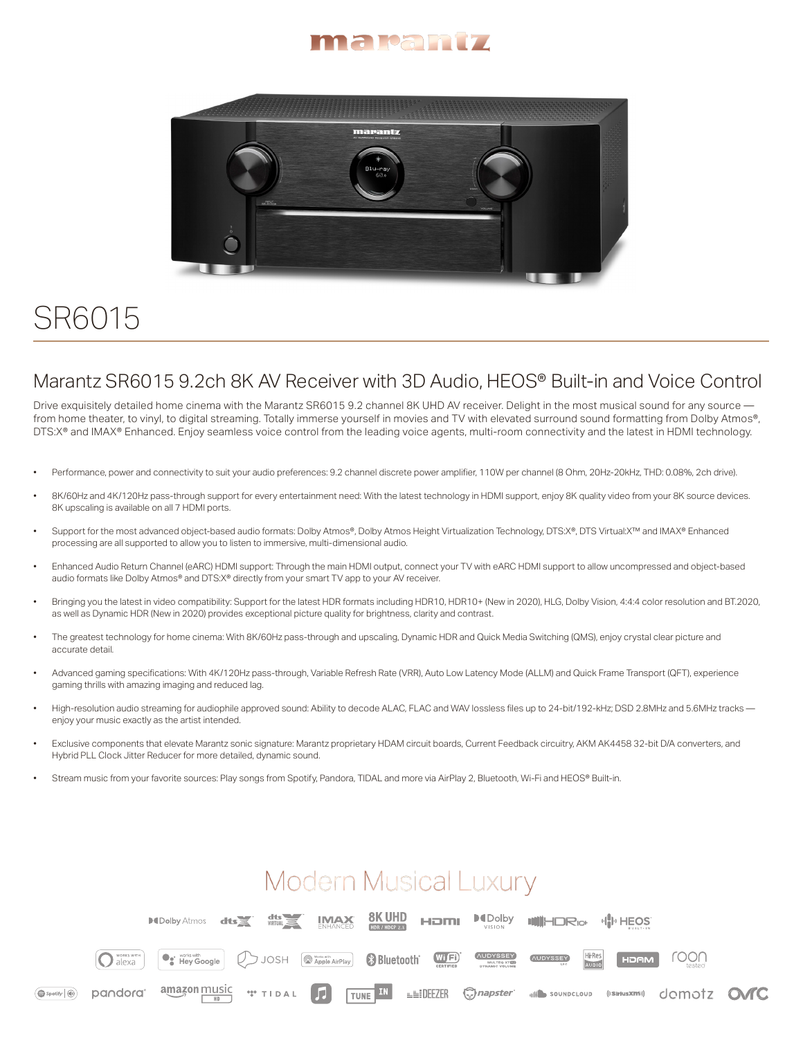



# SR6015

#### Marantz SR6015 9.2ch 8K AV Receiver with 3D Audio, HEOS® Built-in and Voice Control

Drive exquisitely detailed home cinema with the Marantz SR6015 9.2 channel 8K UHD AV receiver. Delight in the most musical sound for any source from home theater, to vinyl, to digital streaming. Totally immerse yourself in movies and TV with elevated surround sound formatting from Dolby Atmos®, DTS:X® and IMAX® Enhanced. Enjoy seamless voice control from the leading voice agents, multi-room connectivity and the latest in HDMI technology.

- Performance, power and connectivity to suit your audio preferences: 9.2 channel discrete power amplifier, 110W per channel (8 Ohm, 20Hz-20kHz, THD: 0.08%, 2ch drive).
- 8K/60Hz and 4K/120Hz pass-through support for every entertainment need: With the latest technology in HDMI support, enjoy 8K quality video from your 8K source devices. 8K upscaling is available on all 7 HDMI ports.
- Support for the most advanced object-based audio formats: Dolby Atmos®, Dolby Atmos Height Virtualization Technology, DTS:X®, DTS Virtual:X™ and IMAX® Enhanced processing are all supported to allow you to listen to immersive, multi-dimensional audio.
- Enhanced Audio Return Channel (eARC) HDMI support: Through the main HDMI output, connect your TV with eARC HDMI support to allow uncompressed and object-based audio formats like Dolby Atmos® and DTS:X® directly from your smart TV app to your AV receiver.
- Bringing you the latest in video compatibility: Support for the latest HDR formats including HDR10, HDR10+ (New in 2020), HLG, Dolby Vision, 4:4:4 color resolution and BT.2020, as well as Dynamic HDR (New in 2020) provides exceptional picture quality for brightness, clarity and contrast.
- The greatest technology for home cinema: With 8K/60Hz pass-through and upscaling, Dynamic HDR and Quick Media Switching (QMS), enjoy crystal clear picture and accurate detail.
- Advanced gaming specifications: With 4K/120Hz pass-through, Variable Refresh Rate (VRR), Auto Low Latency Mode (ALLM) and Quick Frame Transport (QFT), experience gaming thrills with amazing imaging and reduced lag.
- High-resolution audio streaming for audiophile approved sound: Ability to decode ALAC, FLAC and WAV lossless files up to 24-bit/192-kHz; DSD 2.8MHz and 5.6MHz tracks enjoy your music exactly as the artist intended.
- Exclusive components that elevate Marantz sonic signature: Marantz proprietary HDAM circuit boards, Current Feedback circuitry, AKM AK4458 32-bit D/A converters, and Hybrid PLL Clock Jitter Reducer for more detailed, dynamic sound.
- Stream music from your favorite sources: Play songs from Spotify, Pandora, TIDAL and more via AirPlay 2, Bluetooth, Wi-Fi and HEOS® Built-in.

## **Modern Musical Luxury**